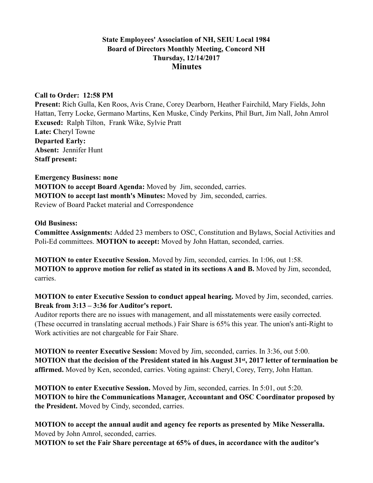### **State Employees' Association of NH, SEIU Local 1984 Board of Directors Monthly Meeting, Concord NH Thursday, 12/14/2017 Minutes**

### **Call to Order: 12:58 PM**

**Present:** Rich Gulla, Ken Roos, Avis Crane, Corey Dearborn, Heather Fairchild, Mary Fields, John Hattan, Terry Locke, Germano Martins, Ken Muske, Cindy Perkins, Phil Burt, Jim Nall, John Amrol **Excused:** Ralph Tilton, Frank Wike, Sylvie Pratt **Late: C**heryl Towne **Departed Early: Absent:** Jennifer Hunt **Staff present:** 

#### **Emergency Business: none**

**MOTION to accept Board Agenda:** Moved by Jim, seconded, carries. **MOTION to accept last month's Minutes:** Moved by Jim, seconded, carries. Review of Board Packet material and Correspondence

### **Old Business:**

**Committee Assignments:** Added 23 members to OSC, Constitution and Bylaws, Social Activities and Poli-Ed committees. **MOTION to accept:** Moved by John Hattan, seconded, carries.

**MOTION to enter Executive Session.** Moved by Jim, seconded, carries. In 1:06, out 1:58. **MOTION to approve motion for relief as stated in its sections A and B.** Moved by Jim, seconded, carries.

# **MOTION to enter Executive Session to conduct appeal hearing.** Moved by Jim, seconded, carries. **Break from 3:13 – 3:36 for Auditor's report.**

Auditor reports there are no issues with management, and all misstatements were easily corrected. (These occurred in translating accrual methods.) Fair Share is 65% this year. The union's anti-Right to Work activities are not chargeable for Fair Share.

**MOTION to reenter Executive Session:** Moved by Jim, seconded, carries. In 3:36, out 5:00. **MOTION that the decision of the President stated in his August 31st, 2017 letter of termination be affirmed.** Moved by Ken, seconded, carries. Voting against: Cheryl, Corey, Terry, John Hattan.

**MOTION to enter Executive Session.** Moved by Jim, seconded, carries. In 5:01, out 5:20. **MOTION to hire the Communications Manager, Accountant and OSC Coordinator proposed by the President.** Moved by Cindy, seconded, carries.

**MOTION to accept the annual audit and agency fee reports as presented by Mike Nesseralla.** Moved by John Amrol, seconded, carries. **MOTION to set the Fair Share percentage at 65% of dues, in accordance with the auditor's**